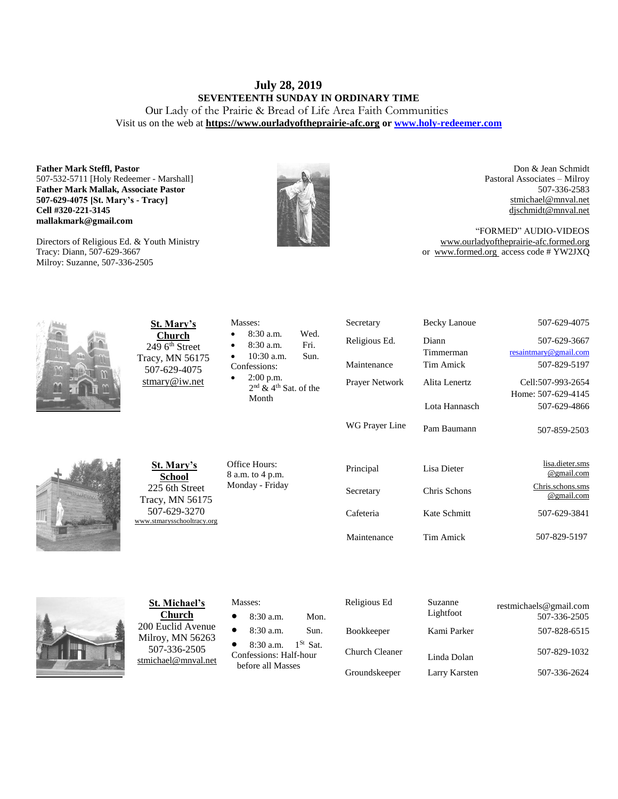# **July 28, 2019 SEVENTEENTH SUNDAY IN ORDINARY TIME** Our Lady of the Prairie & Bread of Life Area Faith Communities

Visit us on the web at **https:/[/www.ourladyoftheprairie-afc.org](http://www.ourladyoftheprairie-afc.org/) o[r www.holy-redeemer.com](http://www.holy-redeemer.com/)**

**Father Mark Steffl, Pastor** 507-532-5711 [Holy Redeemer - Marshall] **Father Mark Mallak, Associate Pastor 507-629-4075 [St. Mary's - Tracy] Cell #320-221-3145 mallakmark@gmail.com**

Directors of Religious Ed. & Youth Ministry Tracy: Diann, 507-629-3667 Milroy: Suzanne, 507-336-2505



Don & Jean Schmidt Pastoral Associates – Milroy 507-336-2583 [stmichael@mnval.net](mailto:stmichael@means.net) [djschmidt@mnval.net](mailto:djschmidt@mnval.net)

"FORMED" AUDIO-VIDEOS [www.ourladyoftheprairie-afc.formed.org](http://www.ourladyoftheprairie-afc.formed.org/) or www.formed.org access code # YW2JXQ



**St. Mary's Church** 249 6<sup>th</sup> Street Tracy, MN 56175 507-629-4075 [stmary@iw.net](mailto:stmary@iw.net)

| St. Mary's     |
|----------------|
| School         |
| 225 6th Street |

Tracy, MN 56175 507-629-3270 [www.stmarysschooltracy.org](http://www.stmarysschooltracy.org/) Office Hours: 8 a.m. to 4 p.m. Monday - Friday

Masses:

Confessions: 2:00 p.m.

Month

 8:30 a.m. Wed. 8:30 a.m. Fri. 10:30 a.m. Sun.

2<sup>nd</sup> & 4<sup>th</sup> Sat. of the

| Religious Ed.  | Diann<br>Timmerman | 507-629-3667<br>resaintmary@gmail.com |
|----------------|--------------------|---------------------------------------|
| Maintenance    | Tim Amick          | 507-829-5197                          |
| Prayer Network | Alita Lenertz      | Cell:507-993-2654                     |
|                | Lota Hannasch      | Home: 507-629-4145<br>507-629-4866    |
| WG Prayer Line | Pam Baumann        | 507-859-2503                          |
| Principal      | Lisa Dieter        | lisa.dieter.sms<br>@gmail.com         |
| Secretary      | Chris Schons       | Chris.schons.sms<br>@gmail.com        |
| Cafeteria      | Kate Schmitt       | 507-629-3841                          |
| Maintenance    | Tim Amick          | 507-829-5197                          |

Secretary Becky Lanoue 507-629-4075



**St. Michael's Church** 200 Euclid Avenue Milroy, MN 56263 507-336-2505 [stmichael@mnval.net](mailto:stmichael@mnval.net)

### Masses:

8:30 a.m. Mon.

8:30 a.m. Sun.

• 8:30 a.m.  $1^{St}$  Sat. Confessions: Half-hour before all Masses

| Religious Ed      | Suzanne<br>Lightfoot | restmichaels@gmail.com<br>507-336-2505 |
|-------------------|----------------------|----------------------------------------|
| <b>Bookkeeper</b> | Kami Parker          | 507-828-6515                           |
| Church Cleaner    | Linda Dolan          | 507-829-1032                           |
| Groundskeeper     | Larry Karsten        | 507-336-2624                           |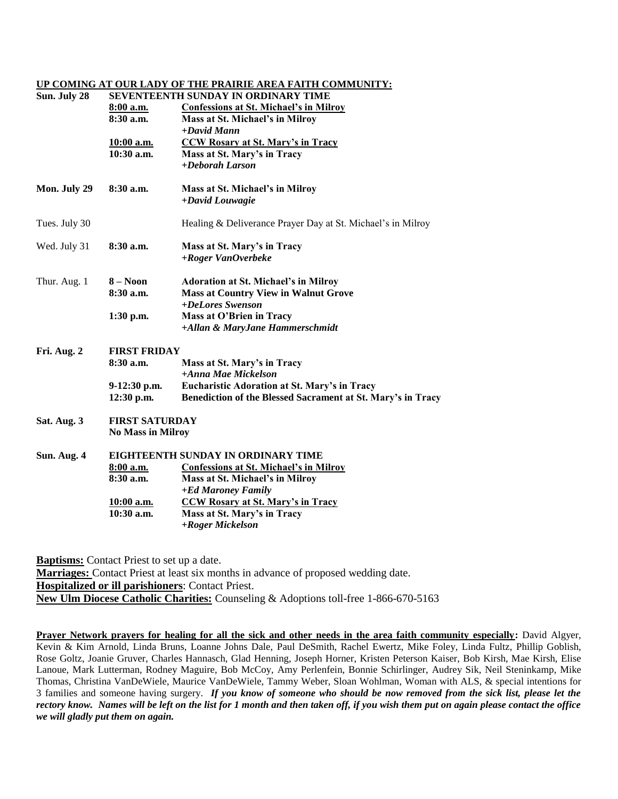## **UP COMING AT OUR LADY OF THE PRAIRIE AREA FAITH COMMUNITY:**

| Sun. July 28  | SEVENTEENTH SUNDAY IN ORDINARY TIME |                                                                 |  |  |
|---------------|-------------------------------------|-----------------------------------------------------------------|--|--|
|               | 8:00 a.m.<br>8:30a.m.               | <b>Confessions at St. Michael's in Milroy</b>                   |  |  |
|               |                                     | Mass at St. Michael's in Milroy<br>$+$ David Mann               |  |  |
|               | <u>10:00 a.m.</u>                   | <b>CCW Rosary at St. Mary's in Tracy</b>                        |  |  |
|               | 10:30 a.m.                          | Mass at St. Mary's in Tracy                                     |  |  |
|               |                                     | +Deborah Larson                                                 |  |  |
| Mon. July 29  | 8:30a.m.                            | Mass at St. Michael's in Milroy                                 |  |  |
|               |                                     | +David Louwagie                                                 |  |  |
| Tues. July 30 |                                     | Healing & Deliverance Prayer Day at St. Michael's in Milroy     |  |  |
| Wed. July 31  | 8:30a.m.                            | Mass at St. Mary's in Tracy                                     |  |  |
|               |                                     | $+ Roger VanOverbeke$                                           |  |  |
| Thur. Aug. 1  | $8 - N$ oon                         | <b>Adoration at St. Michael's in Milroy</b>                     |  |  |
|               | 8:30 a.m.                           | <b>Mass at Country View in Walnut Grove</b><br>+DeLores Swenson |  |  |
|               | 1:30 p.m.                           | Mass at O'Brien in Tracy                                        |  |  |
|               |                                     | +Allan & MaryJane Hammerschmidt                                 |  |  |
| Fri. Aug. 2   | <b>FIRST FRIDAY</b>                 |                                                                 |  |  |
|               | 8:30a.m.                            | Mass at St. Mary's in Tracy                                     |  |  |
|               |                                     | +Anna Mae Mickelson                                             |  |  |
|               | $9-12:30$ p.m.                      | <b>Eucharistic Adoration at St. Mary's in Tracy</b>             |  |  |
|               | 12:30 p.m.                          | Benediction of the Blessed Sacrament at St. Mary's in Tracy     |  |  |
| Sat. Aug. 3   | <b>FIRST SATURDAY</b>               |                                                                 |  |  |
|               | <b>No Mass in Milroy</b>            |                                                                 |  |  |
| Sun. Aug. 4   | EIGHTEENTH SUNDAY IN ORDINARY TIME  |                                                                 |  |  |
|               | 8:00 a.m.                           | <b>Confessions at St. Michael's in Milroy</b>                   |  |  |
|               | 8:30 a.m.                           | Mass at St. Michael's in Milroy                                 |  |  |
|               |                                     | +Ed Maroney Family                                              |  |  |
|               | <u>10:00 a.m.</u><br>10:30 a.m.     | <b>CCW Rosary at St. Mary's in Tracy</b>                        |  |  |
|               |                                     | Mass at St. Mary's in Tracy<br>+Roger Mickelson                 |  |  |
|               |                                     |                                                                 |  |  |

**Baptisms:** Contact Priest to set up a date.

**Marriages:** Contact Priest at least six months in advance of proposed wedding date. **Hospitalized or ill parishioners**: Contact Priest. **New Ulm Diocese Catholic Charities:** Counseling & Adoptions toll-free 1-866-670-5163

**Prayer Network prayers for healing for all the sick and other needs in the area faith community especially:** David Algyer, Kevin & Kim Arnold, Linda Bruns, Loanne Johns Dale, Paul DeSmith, Rachel Ewertz, Mike Foley, Linda Fultz, Phillip Goblish, Rose Goltz, Joanie Gruver, Charles Hannasch, Glad Henning, Joseph Horner, Kristen Peterson Kaiser, Bob Kirsh, Mae Kirsh, Elise Lanoue, Mark Lutterman, Rodney Maguire, Bob McCoy, Amy Perlenfein, Bonnie Schirlinger, Audrey Sik, Neil Steninkamp, Mike Thomas, Christina VanDeWiele, Maurice VanDeWiele, Tammy Weber, Sloan Wohlman, Woman with ALS, & special intentions for 3 families and someone having surgery. *If you know of someone who should be now removed from the sick list, please let the rectory know. Names will be left on the list for 1 month and then taken off, if you wish them put on again please contact the office we will gladly put them on again.*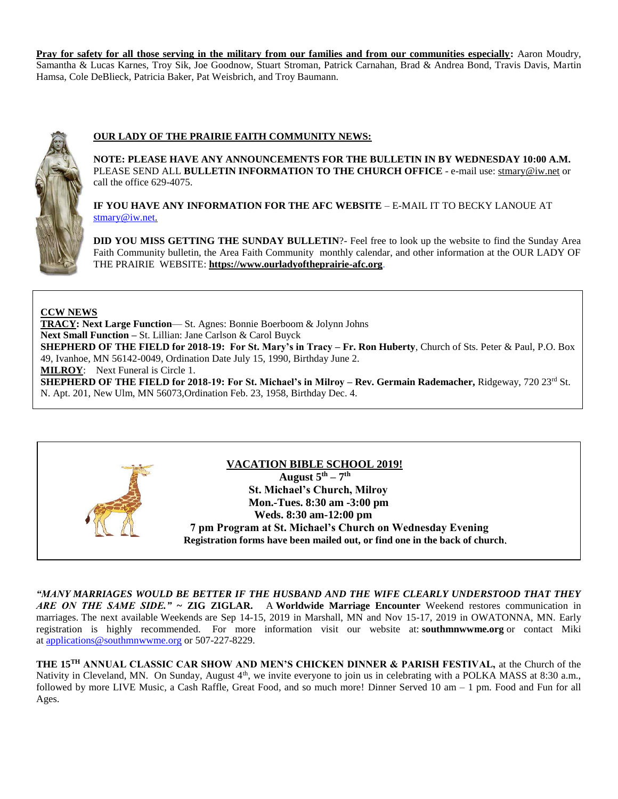**Pray for safety for all those serving in the military from our families and from our communities especially:** Aaron Moudry, Samantha & Lucas Karnes, Troy Sik, Joe Goodnow, Stuart Stroman, Patrick Carnahan, Brad & Andrea Bond, Travis Davis, Martin Hamsa, Cole DeBlieck, Patricia Baker, Pat Weisbrich, and Troy Baumann.



# **OUR LADY OF THE PRAIRIE FAITH COMMUNITY NEWS:**

**NOTE: PLEASE HAVE ANY ANNOUNCEMENTS FOR THE BULLETIN IN BY WEDNESDAY 10:00 A.M.** PLEASE SEND ALL **BULLETIN INFORMATION TO THE CHURCH OFFICE** - e-mail use[: stmary@iw.net](mailto:stmary@iw.net) or call the office 629-4075.

**IF YOU HAVE ANY INFORMATION FOR THE AFC WEBSITE** – E-MAIL IT TO BECKY LANOUE AT [stmary@iw.net.](mailto:stmary@iw.net)

**DID YOU MISS GETTING THE SUNDAY BULLETIN**?- Feel free to look up the website to find the Sunday Area Faith Community bulletin, the Area Faith Community monthly calendar, and other information at the OUR LADY OF THE PRAIRIE WEBSITE: **https:/[/www.ourladyoftheprairie-afc.org](http://www.ourladyoftheprairie-afc.org/)**.

## **CCW NEWS**

**TRACY: Next Large Function**— St. Agnes: Bonnie Boerboom & Jolynn Johns **Next Small Function –** St. Lillian: Jane Carlson & Carol Buyck **SHEPHERD OF THE FIELD for 2018-19: For St. Mary's in Tracy – Fr. Ron Huberty**, Church of Sts. Peter & Paul, P.O. Box 49, Ivanhoe, MN 56142-0049, Ordination Date July 15, 1990, Birthday June 2. **MILROY**: Next Funeral is Circle 1. **SHEPHERD OF THE FIELD for 2018-19: For St. Michael's in Milroy – Rev. Germain Rademacher, Ridgeway, 720 23<sup>rd</sup> St.** N. Apt. 201, New Ulm, MN 56073,Ordination Feb. 23, 1958, Birthday Dec. 4.



*"MANY MARRIAGES WOULD BE BETTER IF THE HUSBAND AND THE WIFE CLEARLY UNDERSTOOD THAT THEY ARE ON THE SAME SIDE."* **~ ZIG ZIGLAR.** A **Worldwide Marriage Encounter** Weekend restores communication in marriages. The next available Weekends are Sep 14-15, 2019 in Marshall, MN and Nov 15-17, 2019 in OWATONNA, MN. Early registration is highly recommended. For more information visit our website at: **southmnwwme.org** or contact Miki at [applications@southmnwwme.org](mailto:wmandbethnickles@hotmail.com) or 507-227-8229.

**THE 15TH ANNUAL CLASSIC CAR SHOW AND MEN'S CHICKEN DINNER & PARISH FESTIVAL,** at the Church of the Nativity in Cleveland, MN. On Sunday, August 4<sup>th</sup>, we invite everyone to join us in celebrating with a POLKA MASS at 8:30 a.m., followed by more LIVE Music, a Cash Raffle, Great Food, and so much more! Dinner Served 10 am – 1 pm. Food and Fun for all Ages.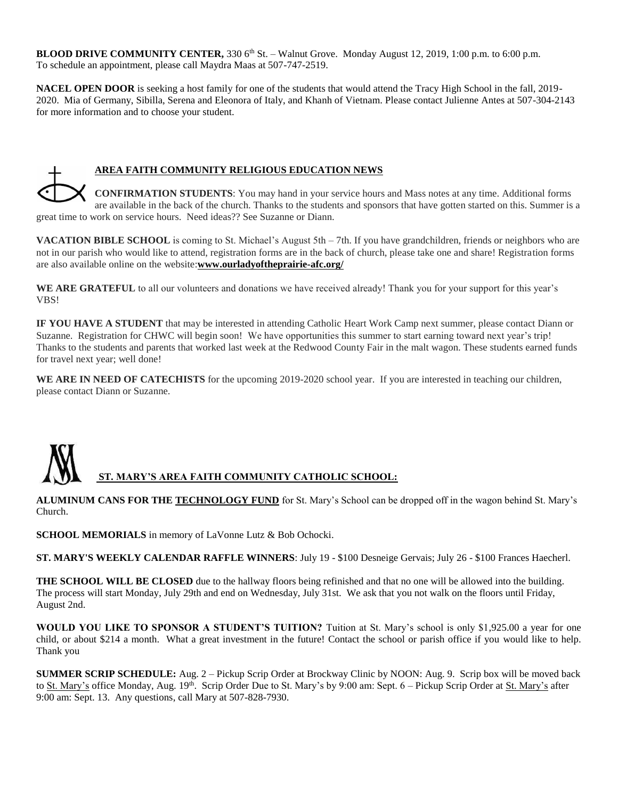**BLOOD DRIVE COMMUNITY CENTER, 330 6<sup>th</sup> St. – Walnut Grove. Monday August 12, 2019, 1:00 p.m. to 6:00 p.m.** To schedule an appointment, please call Maydra Maas at 507-747-2519.

**NACEL OPEN DOOR** is seeking a host family for one of the students that would attend the Tracy High School in the fall, 2019- 2020. Mia of Germany, Sibilla, Serena and Eleonora of Italy, and Khanh of Vietnam. Please contact Julienne Antes at 507-304-2143 for more information and to choose your student.

# **AREA FAITH COMMUNITY RELIGIOUS EDUCATION NEWS**

**CONFIRMATION STUDENTS**: You may hand in your service hours and Mass notes at any time. Additional forms are available in the back of the church. Thanks to the students and sponsors that have gotten started on this. Summer is a great time to work on service hours. Need ideas?? See Suzanne or Diann.

**VACATION BIBLE SCHOOL** is coming to St. Michael's August 5th – 7th. If you have grandchildren, friends or neighbors who are not in our parish who would like to attend, registration forms are in the back of church, please take one and share! Registration forms are also available online on the website:**www.ourladyoftheprairie-afc.org/**

WE ARE GRATEFUL to all our volunteers and donations we have received already! Thank you for your support for this year's VBS!

**IF YOU HAVE A STUDENT** that may be interested in attending Catholic Heart Work Camp next summer, please contact Diann or Suzanne. Registration for CHWC will begin soon! We have opportunities this summer to start earning toward next year's trip! Thanks to the students and parents that worked last week at the Redwood County Fair in the malt wagon. These students earned funds for travel next year; well done!

WE ARE IN NEED OF CATECHISTS for the upcoming 2019-2020 school year. If you are interested in teaching our children, please contact Diann or Suzanne.

# **ST. MARY'S AREA FAITH COMMUNITY CATHOLIC SCHOOL:**

**ALUMINUM CANS FOR THE TECHNOLOGY FUND** for St. Mary's School can be dropped off in the wagon behind St. Mary's Church.

**SCHOOL MEMORIALS** in memory of LaVonne Lutz & Bob Ochocki.

**ST. MARY'S WEEKLY CALENDAR RAFFLE WINNERS**: July 19 - \$100 Desneige Gervais; July 26 - \$100 Frances Haecherl.

**THE SCHOOL WILL BE CLOSED** due to the hallway floors being refinished and that no one will be allowed into the building. The process will start Monday, July 29th and end on Wednesday, July 31st. We ask that you not walk on the floors until Friday, August 2nd.

**WOULD YOU LIKE TO SPONSOR A STUDENT'S TUITION?** Tuition at St. Mary's school is only \$1,925.00 a year for one child, or about \$214 a month. What a great investment in the future! Contact the school or parish office if you would like to help. Thank you

**SUMMER SCRIP SCHEDULE:** Aug. 2 – Pickup Scrip Order at Brockway Clinic by NOON: Aug. 9. Scrip box will be moved back to St. Mary's office Monday, Aug. 19<sup>th</sup>. Scrip Order Due to St. Mary's by 9:00 am: Sept. 6 – Pickup Scrip Order at St. Mary's after 9:00 am: Sept. 13. Any questions, call Mary at 507-828-7930.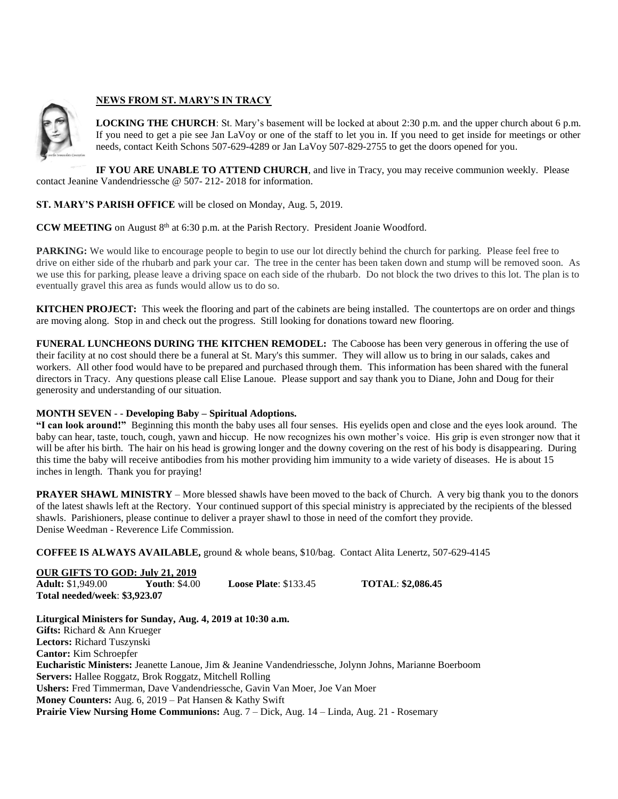

## **NEWS FROM ST. MARY'S IN TRACY**

**LOCKING THE CHURCH**: St. Mary's basement will be locked at about 2:30 p.m. and the upper church about 6 p.m. If you need to get a pie see Jan LaVoy or one of the staff to let you in. If you need to get inside for meetings or other needs, contact Keith Schons 507-629-4289 or Jan LaVoy 507-829-2755 to get the doors opened for you.

**IF YOU ARE UNABLE TO ATTEND CHURCH**, and live in Tracy, you may receive communion weekly. Please contact Jeanine Vandendriessche @ 507- 212- 2018 for information.

## **ST. MARY'S PARISH OFFICE** will be closed on Monday, Aug. 5, 2019.

CCW MEETING on August 8<sup>th</sup> at 6:30 p.m. at the Parish Rectory. President Joanie Woodford.

**PARKING:** We would like to encourage people to begin to use our lot directly behind the church for parking. Please feel free to drive on either side of the rhubarb and park your car. The tree in the center has been taken down and stump will be removed soon. As we use this for parking, please leave a driving space on each side of the rhubarb. Do not block the two drives to this lot. The plan is to eventually gravel this area as funds would allow us to do so.

**KITCHEN PROJECT:** This week the flooring and part of the cabinets are being installed. The countertops are on order and things are moving along. Stop in and check out the progress. Still looking for donations toward new flooring.

**FUNERAL LUNCHEONS DURING THE KITCHEN REMODEL:** The Caboose has been very generous in offering the use of their facility at no cost should there be a funeral at St. Mary's this summer. They will allow us to bring in our salads, cakes and workers. All other food would have to be prepared and purchased through them. This information has been shared with the funeral directors in Tracy. Any questions please call Elise Lanoue. Please support and say thank you to Diane, John and Doug for their generosity and understanding of our situation.

## **MONTH SEVEN** - - **Developing Baby – Spiritual Adoptions.**

**"I can look around!"** Beginning this month the baby uses all four senses. His eyelids open and close and the eyes look around. The baby can hear, taste, touch, cough, yawn and hiccup. He now recognizes his own mother's voice. His grip is even stronger now that it will be after his birth. The hair on his head is growing longer and the downy covering on the rest of his body is disappearing. During this time the baby will receive antibodies from his mother providing him immunity to a wide variety of diseases. He is about 15 inches in length. Thank you for praying!

**PRAYER SHAWL MINISTRY** – More blessed shawls have been moved to the back of Church. A very big thank you to the donors of the latest shawls left at the Rectory. Your continued support of this special ministry is appreciated by the recipients of the blessed shawls. Parishioners, please continue to deliver a prayer shawl to those in need of the comfort they provide. Denise Weedman - Reverence Life Commission.

**COFFEE IS ALWAYS AVAILABLE,** ground & whole beans, \$10/bag. Contact Alita Lenertz, 507-629-4145

| <b>OUR GIFTS TO GOD: July 21, 2019</b> |                      |                               |                          |  |
|----------------------------------------|----------------------|-------------------------------|--------------------------|--|
| <b>Adult:</b> \$1,949.00               | <b>Youth: \$4.00</b> | <b>Loose Plate:</b> $$133.45$ | <b>TOTAL: \$2,086.45</b> |  |
| Total needed/week: \$3,923.07          |                      |                               |                          |  |

**Liturgical Ministers for Sunday, Aug. 4, 2019 at 10:30 a.m. Gifts:** Richard & Ann Krueger **Lectors:** Richard Tuszynski **Cantor:** Kim Schroepfer **Eucharistic Ministers:** Jeanette Lanoue, Jim & Jeanine Vandendriessche, Jolynn Johns, Marianne Boerboom **Servers:** Hallee Roggatz, Brok Roggatz, Mitchell Rolling **Ushers:** Fred Timmerman, Dave Vandendriessche, Gavin Van Moer, Joe Van Moer **Money Counters:** Aug. 6, 2019 – Pat Hansen & Kathy Swift **Prairie View Nursing Home Communions:** Aug. 7 – Dick, Aug. 14 – Linda, Aug. 21 - Rosemary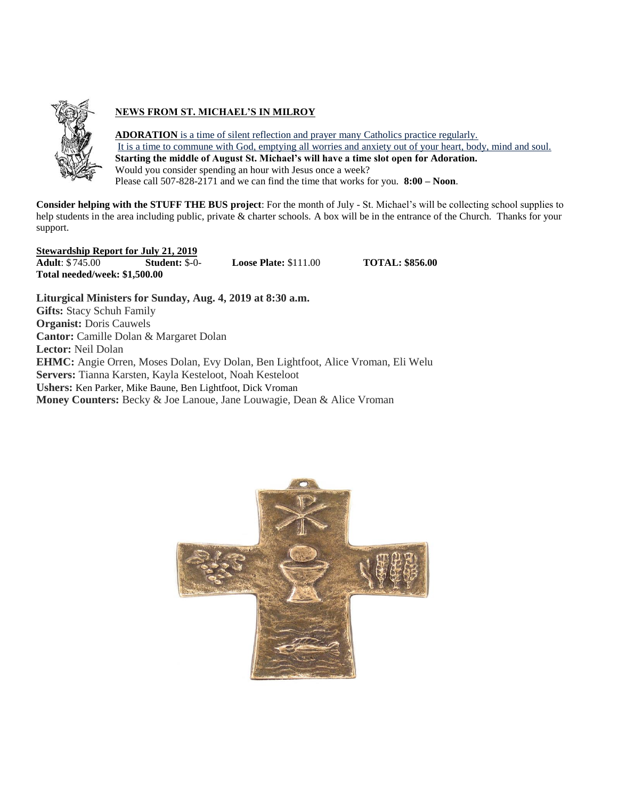

# **NEWS FROM ST. MICHAEL'S IN MILROY**

**ADORATION** is a time of silent reflection and prayer many Catholics practice regularly. It is a time to commune with God, emptying all worries and anxiety out of your heart, body, mind and soul. **Starting the middle of August St. Michael's will have a time slot open for Adoration.** Would you consider spending an hour with Jesus once a week? Please call 507-828-2171 and we can find the time that works for you. **8:00 – Noon**.

**Consider helping with the STUFF THE BUS project**: For the month of July - St. Michael's will be collecting school supplies to help students in the area including public, private & charter schools. A box will be in the entrance of the Church. Thanks for your support.

**Stewardship Report for July 21, 2019 Adult**:  $\frac{$745.00}{$745.00}$  **Student:**  $\frac{$100}{$50}$  **Loose Plate:**  $\frac{$111.00}{$111.00}$  **TOTAL:** \$856.00 **Total needed/week: \$1,500.00**

**Liturgical Ministers for Sunday, Aug. 4, 2019 at 8:30 a.m. Gifts:** Stacy Schuh Family **Organist:** Doris Cauwels **Cantor:** Camille Dolan & Margaret Dolan **Lector:** Neil Dolan **EHMC:** Angie Orren, Moses Dolan, Evy Dolan, Ben Lightfoot, Alice Vroman, Eli Welu **Servers:** Tianna Karsten, Kayla Kesteloot, Noah Kesteloot **Ushers:** Ken Parker, Mike Baune, Ben Lightfoot, Dick Vroman **Money Counters:** Becky & Joe Lanoue, Jane Louwagie, Dean & Alice Vroman